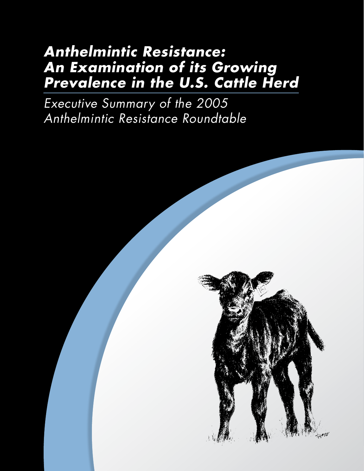# *Anthelmintic Resistance: An Examination of its Growing Prevalence in the U.S. Cattle Herd*

*Executive Summary of the 2005 Anthelmintic Resistance Roundtable*

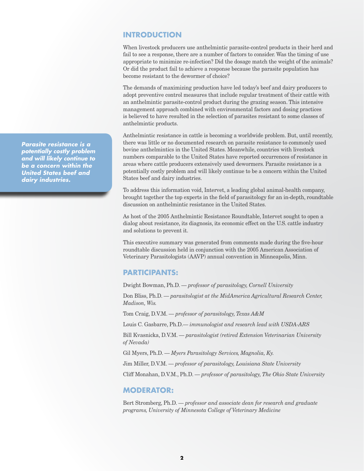#### **INTRODUCTION**

When livestock producers use anthelmintic parasite-control products in their herd and fail to see a response, there are a number of factors to consider. Was the timing of use appropriate to minimize re-infection? Did the dosage match the weight of the animals? Or did the product fail to achieve a response because the parasite population has become resistant to the dewormer of choice?

The demands of maximizing production have led today's beef and dairy producers to adopt preventive control measures that include regular treatment of their cattle with an anthelmintic parasite-control product during the grazing season. This intensive management approach combined with environmental factors and dosing practices is believed to have resulted in the selection of parasites resistant to some classes of anthelmintic products.

Anthelmintic resistance in cattle is becoming a worldwide problem. But, until recently, there was little or no documented research on parasite resistance to commonly used bovine anthelmintics in the United States. Meanwhile, countries with livestock numbers comparable to the United States have reported occurrences of resistance in areas where cattle producers extensively used dewormers. Parasite resistance is a potentially costly problem and will likely continue to be a concern within the United States beef and dairy industries.

To address this information void, Intervet, a leading global animal-health company, brought together the top experts in the field of parasitology for an in-depth, roundtable discussion on anthelmintic resistance in the United States.

As host of the 2005 Anthelmintic Resistance Roundtable, Intervet sought to open a dialog about resistance, its diagnosis, its economic effect on the U.S. cattle industry and solutions to prevent it.

This executive summary was generated from comments made during the five-hour roundtable discussion held in conjunction with the 2005 American Association of Veterinary Parasitologists (AAVP) annual convention in Minneapolis, Minn.

#### **PARTICIPANTS:**

Dwight Bowman, Ph.D. — *professor of parasitology, Cornell University*

Don Bliss, Ph.D. — *parasitologist at the MidAmerica Agricultural Research Center, Madison, Wis.*

Tom Craig, D.V.M. — *professor of parasitology, Texas A&M*

Louis C. Gasbarre, Ph.D.— *immunologist and research lead with USDA-ARS*

Bill Kvasnicka, D.V.M. — *parasitologist (retired Extension Veterinarian University of Nevada)*

Gil Myers, Ph.D. — *Myers Parasitology Services, Magnolia, Ky.*

Jim Miller, D.V.M. — *professor of parasitology, Louisiana State University*

Cliff Monahan, D.V.M., Ph.D. — *professor of parasitology, The Ohio State University*

#### **MODERATOR:**

Bert Stromberg, Ph.D. — *professor and associate dean for research and graduate programs, University of Minnesota College of Veterinary Medicine*

*Parasite resistance is a potentially costly problem and will likely continue to be a concern within the United States beef and dairy industries.*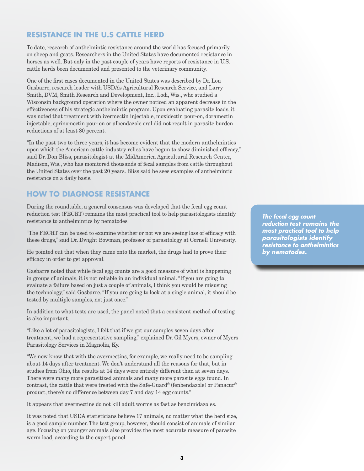## **RESISTANCE IN THE U.S CATTLE HERD**

To date, research of anthelmintic resistance around the world has focused primarily on sheep and goats. Researchers in the United States have documented resistance in horses as well. But only in the past couple of years have reports of resistance in U.S. cattle herds been documented and presented to the veterinary community.

One of the first cases documented in the United States was described by Dr. Lou Gasbarre, research leader with USDA's Agricultural Research Service, and Larry Smith, DVM, Smith Research and Development, Inc., Lodi, Wis., who studied a Wisconsin background operation where the owner noticed an apparent decrease in the effectiveness of his strategic anthelmintic program. Upon evaluating parasite loads, it was noted that treatment with ivermectin injectable, moxidectin pour-on, doramectin injectable, eprinomectin pour-on or albendazole oral did not result in parasite burden reductions of at least 80 percent.

"In the past two to three years, it has become evident that the modern anthelmintics upon which the American cattle industry relies have begun to show diminished efficacy," said Dr. Don Bliss, parasitologist at the MidAmerica Agricultural Research Center, Madison, Wis., who has monitored thousands of fecal samples from cattle throughout the United States over the past 20 years. Bliss said he sees examples of anthelmintic resistance on a daily basis.

# **HOW TO DIAGNOSE RESISTANCE**

During the roundtable, a general consensus was developed that the fecal egg count reduction test (FECRT) remains the most practical tool to help parasitologists identify resistance to anthelmintics by nematodes.

"The FECRT can be used to examine whether or not we are seeing loss of efficacy with these drugs," said Dr. Dwight Bowman, professor of parasitology at Cornell University.

He pointed out that when they came onto the market, the drugs had to prove their efficacy in order to get approval.

Gasbarre noted that while fecal egg counts are a good measure of what is happening in groups of animals, it is not reliable in an individual animal. "If you are going to evaluate a failure based on just a couple of animals, I think you would be misusing the technology," said Gasbarre. "If you are going to look at a single animal, it should be tested by multiple samples, not just once."

In addition to what tests are used, the panel noted that a consistent method of testing is also important.

"Like a lot of parasitologists, I felt that if we got our samples seven days after treatment, we had a representative sampling," explained Dr. Gil Myers, owner of Myers Parasitology Services in Magnolia, Ky.

"We now know that with the avermectins, for example, we really need to be sampling about 14 days after treatment. We don't understand all the reasons for that, but in studies from Ohio, the results at 14 days were entirely different than at seven days. There were many more parasitized animals and many more parasite eggs found. In contrast, the cattle that were treated with the Safe-Guard® (fenbendazole) or Panacur® product, there's no difference between day 7 and day 14 egg counts."

It appears that avermectins do not kill adult worms as fast as benzimidazoles.

It was noted that USDA statisticians believe 17 animals, no matter what the herd size, is a good sample number. The test group, however, should consist of animals of similar age. Focusing on younger animals also provides the most accurate measure of parasite worm load, according to the expert panel.

*The fecal egg count reduction test remains the most practical tool to help parasitologists identify resistance to anthelmintics by nematodes.*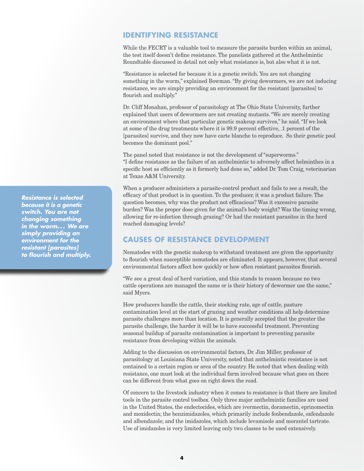#### **IDENTIFYING RESISTANCE**

While the FECRT is a valuable tool to measure the parasite burden within an animal, the test itself doesn't define resistance. The panelists gathered at the Anthelmintic Roundtable discussed in detail not only what resistance is, but also what it is not.

"Resistance is selected for because it is a genetic switch. You are not changing something in the worm," explained Bowman. "By giving dewormers, we are not inducing resistance, we are simply providing an environment for the resistant [parasites] to flourish and multiply."

Dr. Cliff Monahan, professor of parasitology at The Ohio State University, further explained that users of dewormers are not creating mutants. "We are merely creating an environment where that particular genetic makeup survives," he said. "If we look at some of the drug treatments where it is 99.9 percent effective, .1 percent of the [parasites] survive, and they now have carte blanche to reproduce. So their genetic pool becomes the dominant pool."

The panel noted that resistance is not the development of "superworms." "I define resistance as the failure of an anthelmintic to adversely affect helminthes in a specific host as efficiently as it formerly had done so," added Dr. Tom Craig, veterinarian at Texas A&M University.

When a producer administers a parasite-control product and fails to see a result, the efficacy of that product is in question. To the producer, it was a product failure. The question becomes, why was the product not efficacious? Was it excessive parasite burden? Was the proper dose given for the animal's body weight? Was the timing wrong, allowing for re-infection through grazing? Or had the resistant parasites in the herd reached damaging levels?

## **CAUSES OF RESISTANCE DEVELOPMENT**

Nematodes with the genetic makeup to withstand treatment are given the opportunity to flourish when susceptible nematodes are eliminated. It appears, however, that several environmental factors affect how quickly or how often resistant parasites flourish.

"We see a great deal of herd variation, and this stands to reason because no two cattle operations are managed the same or is their history of dewormer use the same," said Myers.

How producers handle the cattle, their stocking rate, age of cattle, pasture contamination level at the start of grazing and weather conditions all help determine parasite challenges more than location. It is generally accepted that the greater the parasite challenge, the harder it will be to have successful treatment. Preventing seasonal buildup of parasite contamination is important to preventing parasite resistance from developing within the animals.

Adding to the discussion on environmental factors, Dr. Jim Miller, professor of parasitology at Louisiana State University, noted that anthelmintic resistance is not contained to a certain region or area of the country. He noted that when dealing with resistance, one must look at the individual farm involved because what goes on there can be different from what goes on right down the road.

Of concern to the livestock industry when it comes to resistance is that there are limited tools in the parasite control toolbox. Only three major anthelmintic families are used in the United States, the endectocides, which are ivermectin, doramectin, eprinomectin and moxidectin; the benzimidazoles, which primarily include fenbendazole, oxfendazole and albendazole; and the imidazoles, which include levamisole and morantel tartrate. Use of imidazoles is very limited leaving only two classes to be used extensively.

*Resistance is selected because it is a genetic switch. You are not changing something in the worm. . . We are simply providing an environment for the resistant [parasites] to flourish and multiply.*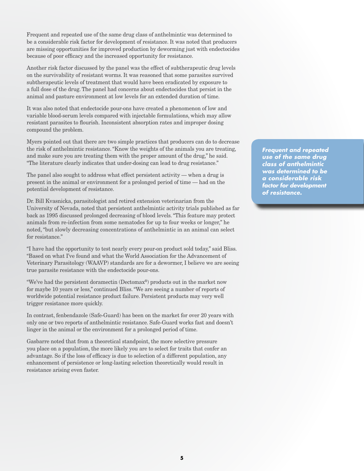Frequent and repeated use of the same drug class of anthelmintic was determined to be a considerable risk factor for development of resistance. It was noted that producers are missing opportunities for improved production by deworming just with endectocides because of poor efficacy and the increased opportunity for resistance.

Another risk factor discussed by the panel was the effect of subtherapeutic drug levels on the survivability of resistant worms. It was reasoned that some parasites survived subtherapeutic levels of treatment that would have been eradicated by exposure to a full dose of the drug. The panel had concerns about endectocides that persist in the animal and pasture environment at low levels for an extended duration of time.

It was also noted that endectocide pour-ons have created a phenomenon of low and variable blood-serum levels compared with injectable formulations, which may allow resistant parasites to flourish. Inconsistent absorption rates and improper dosing compound the problem.

Myers pointed out that there are two simple practices that producers can do to decrease the risk of anthelmintic resistance. "Know the weights of the animals you are treating, and make sure you are treating them with the proper amount of the drug," he said. "The literature clearly indicates that under-dosing can lead to drug resistance."

The panel also sought to address what effect persistent activity — when a drug is present in the animal or environment for a prolonged period of time — had on the potential development of resistance.

Dr. Bill Kvasnicka, parasitologist and retired extension veterinarian from the University of Nevada, noted that persistent anthelmintic activity trials published as far back as 1995 discussed prolonged decreasing of blood levels. "This feature may protect animals from re-infection from some nematodes for up to four weeks or longer," he noted, "but slowly decreasing concentrations of anthelmintic in an animal can select for resistance."

"I have had the opportunity to test nearly every pour-on product sold today," said Bliss. "Based on what I've found and what the World Association for the Advancement of Veterinary Parasitology (WAAVP) standards are for a dewormer, I believe we are seeing true parasite resistance with the endectocide pour-ons.

"We've had the persistent doramectin (Dectomax®) products out in the market now for maybe 10 years or less," continued Bliss. "We are seeing a number of reports of worldwide potential resistance product failure. Persistent products may very well trigger resistance more quickly.

In contrast, fenbendazole (Safe-Guard) has been on the market for over 20 years with only one or two reports of anthelmintic resistance. Safe-Guard works fast and doesn't linger in the animal or the environment for a prolonged period of time.

Gasbarre noted that from a theoretical standpoint, the more selective pressure you place on a population, the more likely you are to select for traits that confer an advantage. So if the loss of efficacy is due to selection of a different population, any enhancement of persistence or long-lasting selection theoretically would result in resistance arising even faster.

*Frequent and repeated use of the same drug class of anthelmintic was determined to be a considerable risk factor for development of resistance.*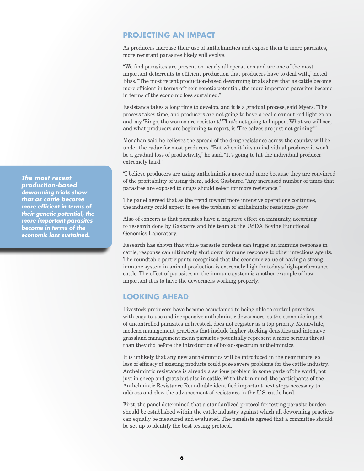#### **PROJECTING AN IMPACT**

As producers increase their use of anthelmintics and expose them to more parasites, more resistant parasites likely will evolve.

"We find parasites are present on nearly all operations and are one of the most important deterrents to efficient production that producers have to deal with," noted Bliss. "The most recent production-based deworming trials show that as cattle become more efficient in terms of their genetic potential, the more important parasites become in terms of the economic loss sustained."

Resistance takes a long time to develop, and it is a gradual process, said Myers. "The process takes time, and producers are not going to have a real clear-cut red light go on and say 'Bingo, the worms are resistant.' That's not going to happen. What we will see, and what producers are beginning to report, is 'The calves are just not gaining.'"

Monahan said he believes the spread of the drug resistance across the country will be under the radar for most producers. "But when it hits an individual producer it won't be a gradual loss of productivity," he said. "It's going to hit the individual producer extremely hard."

"I believe producers are using anthelmintics more and more because they are convinced of the profitability of using them, added Gasbarre. "Any increased number of times that parasites are exposed to drugs should select for more resistance."

The panel agreed that as the trend toward more intensive operations continues, the industry could expect to see the problem of anthelmintic resistance grow.

Also of concern is that parasites have a negative effect on immunity, according to research done by Gasbarre and his team at the USDA Bovine Functional Genomics Laboratory.

Research has shown that while parasite burdens can trigger an immune response in cattle, response can ultimately shut down immune response to other infectious agents. The roundtable participants recognized that the economic value of having a strong immune system in animal production is extremely high for today's high-performance cattle. The effect of parasites on the immune system is another example of how important it is to have the dewormers working properly.

## **LOOKING AHEAD**

Livestock producers have become accustomed to being able to control parasites with easy-to-use and inexpensive anthelmintic dewormers, so the economic impact of uncontrolled parasites in livestock does not register as a top priority. Meanwhile, modern management practices that include higher stocking densities and intensive grassland management mean parasites potentially represent a more serious threat than they did before the introduction of broad-spectrum anthelmintics.

It is unlikely that any new anthelmintics will be introduced in the near future, so loss of efficacy of existing products could pose severe problems for the cattle industry. Anthelmintic resistance is already a serious problem in some parts of the world, not just in sheep and goats but also in cattle. With that in mind, the participants of the Anthelmintic Resistance Roundtable identified important next steps necessary to address and slow the advancement of resistance in the U.S. cattle herd.

First, the panel determined that a standardized protocol for testing parasite burden should be established within the cattle industry against which all deworming practices can equally be measured and evaluated. The panelists agreed that a committee should be set up to identify the best testing protocol.

*The most recent production-based deworming trials show that as cattle become more efficient in terms of their genetic potential, the more important parasites become in terms of the economic loss sustained.*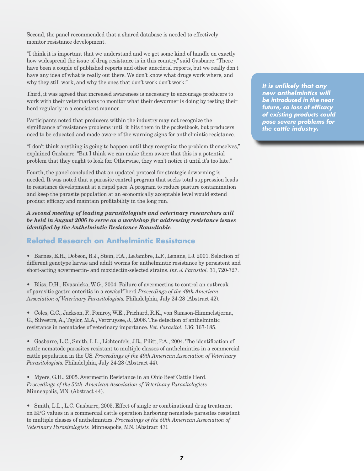Second, the panel recommended that a shared database is needed to effectively monitor resistance development.

"I think it is important that we understand and we get some kind of handle on exactly how widespread the issue of drug resistance is in this country," said Gasbarre. "There have been a couple of published reports and other anecdotal reports, but we really don't have any idea of what is really out there. We don't know what drugs work where, and why they still work, and why the ones that don't work don't work."

Third, it was agreed that increased awareness is necessary to encourage producers to work with their veterinarians to monitor what their dewormer is doing by testing their herd regularly in a consistent manner.

Participants noted that producers within the industry may not recognize the significance of resistance problems until it hits them in the pocketbook, but producers need to be educated and made aware of the warning signs for anthelmintic resistance.

"I don't think anything is going to happen until they recognize the problem themselves," explained Gasbarre. "But I think we can make them aware that this is a potential problem that they ought to look for. Otherwise, they won't notice it until it's too late."

Fourth, the panel concluded that an updated protocol for strategic deworming is needed. It was noted that a parasite control program that seeks total suppression leads to resistance development at a rapid pace. A program to reduce pasture contamination and keep the parasite population at an economically acceptable level would extend product efficacy and maintain profitability in the long run.

*A second meeting of leading parasitologists and veterinary researchers will be held in August 2006 to serve as a workshop for addressing resistance issues identified by the Anthelmintic Resistance Roundtable.*

# **Related Research on Anthelmintic Resistance**

• Barnes, E.H., Dobson, R.J., Stein, P.A., LeJambre, L.F., Lenane, I.J. 2001. Selection of different genotype larvae and adult worms for anthelmintic resistance by persistent and short-acting acvermectin- and moxidectin-selected strains. *Int. J. Parasitol.* 31, 720-727.

• Bliss, D.H., Kvasnicka, W.G., 2004. Failure of avermectins to control an outbreak of parasitic gastro-enteritis in a cow/calf herd *Proceedings of the 49th American Association of Veterinary Parasitologists.* Philadelphia, July 24-28 (Abstract 42).

• Coles, G.C., Jackson, F., Pomroy, W.E., Prichard, R.K., von Samson-Himmelstjerna, G., Silvestre, A., Taylor, M.A., Vercruysse, J., 2006. The detection of anthelmintic resistance in nematodes of veterinary importance. *Vet. Parasitol.* 136: 167-185.

• Gasbarre, L.C., Smith, L.L., Lichtenfels, J.R., Pilitt, P.A., 2004. The identification of cattle nematode parasites resistant to multiple classes of anthelmintics in a commercial cattle population in the US. *Proceedings of the 49th American Association of Veterinary Parasitologists.* Philadelphia, July 24-28 (Abstract 44).

• Myers, G.H., 2005. Avermectin Resistance in an Ohio Beef Cattle Herd. *Proceedings of the 50th American Association of Veterinary Parasitologists* Minneapolis, MN. (Abstract 44).

• Smith, L.L., L.C. Gasbarre, 2005. Effect of single or combinational drug treatment on EPG values in a commercial cattle operation harboring nematode parasites resistant to multiple classes of anthelmintics. *Proceedings of the 50th American Association of Veterinary Parasitologists.* Minneapolis, MN. (Abstract 47).

*It is unlikely that any new anthelmintics will be introduced in the near future, so loss of efficacy of existing products could pose severe problems for the cattle industry.*